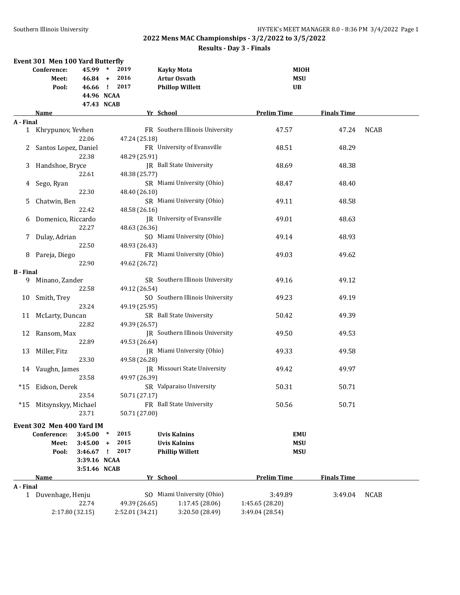## **2022 Mens MAC Championships - 3/2/2022 to 3/5/2022 Results - Day 3 - Finals**

|                  | Event 301 Men 100 Yard Butterfly |                               |                                              |                                                                    |                                 |                    |             |
|------------------|----------------------------------|-------------------------------|----------------------------------------------|--------------------------------------------------------------------|---------------------------------|--------------------|-------------|
|                  | Conference:<br>Meet:<br>Pool:    | 45.99<br>$46.84 +$<br>46.66 ! | 2019<br>$\ast$<br>2016<br>2017<br>44.96 NCAA | <b>Kayky Mota</b><br><b>Artur Osvath</b><br><b>Phillop Willett</b> | <b>MIOH</b><br>MSU<br><b>UB</b> |                    |             |
|                  |                                  |                               | 47.43 NCAB                                   |                                                                    |                                 |                    |             |
|                  | Name                             |                               |                                              | Yr School                                                          | <b>Prelim Time</b>              | <b>Finals Time</b> |             |
| A - Final        |                                  |                               |                                              |                                                                    |                                 |                    |             |
|                  | 1 Khrypunov, Yevhen              |                               |                                              | FR Southern Illinois University                                    | 47.57                           | 47.24              | <b>NCAB</b> |
|                  |                                  | 22.06                         | 47.24 (25.18)                                |                                                                    |                                 |                    |             |
| 2                | Santos Lopez, Daniel             |                               |                                              | FR University of Evansville                                        | 48.51                           | 48.29              |             |
|                  |                                  | 22.38                         | 48.29 (25.91)                                |                                                                    |                                 |                    |             |
| 3                | Handshoe, Bryce                  |                               |                                              | <b>IR</b> Ball State University                                    | 48.69                           | 48.38              |             |
|                  |                                  | 22.61                         | 48.38 (25.77)                                |                                                                    |                                 |                    |             |
| 4                | Sego, Ryan                       |                               |                                              | SR Miami University (Ohio)                                         | 48.47                           | 48.40              |             |
|                  |                                  | 22.30                         | 48.40 (26.10)                                |                                                                    |                                 |                    |             |
| 5                | Chatwin, Ben                     |                               |                                              | SR Miami University (Ohio)                                         | 49.11                           | 48.58              |             |
|                  |                                  | 22.42                         | 48.58 (26.16)                                |                                                                    |                                 |                    |             |
| 6                | Domenico, Riccardo               |                               |                                              | JR University of Evansville                                        | 49.01                           | 48.63              |             |
|                  |                                  | 22.27                         | 48.63 (26.36)                                |                                                                    |                                 |                    |             |
| 7.               | Dulay, Adrian                    |                               |                                              | SO Miami University (Ohio)                                         | 49.14                           | 48.93              |             |
|                  |                                  | 22.50                         | 48.93 (26.43)                                |                                                                    |                                 |                    |             |
| 8                | Pareja, Diego                    |                               |                                              | FR Miami University (Ohio)                                         | 49.03                           | 49.62              |             |
|                  |                                  | 22.90                         | 49.62 (26.72)                                |                                                                    |                                 |                    |             |
| <b>B</b> - Final |                                  |                               |                                              |                                                                    |                                 |                    |             |
| 9.               | Minano, Zander                   |                               |                                              | SR Southern Illinois University                                    | 49.16                           | 49.12              |             |
|                  |                                  | 22.58                         | 49.12 (26.54)                                |                                                                    |                                 |                    |             |
| 10               | Smith, Trey                      |                               |                                              | SO Southern Illinois University                                    | 49.23                           | 49.19              |             |
|                  |                                  | 23.24                         | 49.19 (25.95)                                |                                                                    |                                 |                    |             |
| 11               | McLarty, Duncan                  |                               |                                              | SR Ball State University                                           | 50.42                           | 49.39              |             |
|                  |                                  | 22.82                         | 49.39 (26.57)                                |                                                                    |                                 |                    |             |
| 12               | Ransom, Max                      |                               |                                              | JR Southern Illinois University                                    | 49.50                           | 49.53              |             |
|                  |                                  | 22.89                         | 49.53 (26.64)                                |                                                                    |                                 |                    |             |
| 13               | Miller, Fitz                     |                               |                                              | JR Miami University (Ohio)                                         | 49.33                           | 49.58              |             |
|                  |                                  | 23.30                         | 49.58 (26.28)                                |                                                                    |                                 |                    |             |
|                  | Vaughn, James                    |                               |                                              | JR Missouri State University                                       | 49.42                           | 49.97              |             |
| 14               |                                  | 23.58                         | 49.97 (26.39)                                |                                                                    |                                 |                    |             |
| *15              | Eidson, Derek                    |                               |                                              | SR Valparaiso University                                           | 50.31                           | 50.71              |             |
|                  |                                  | 23.54                         | 50.71 (27.17)                                |                                                                    |                                 |                    |             |
|                  | Mitsynskyy, Michael              |                               |                                              | FR Ball State University                                           | 50.56                           | 50.71              |             |
| *15              |                                  | 23.71                         | 50.71 (27.00)                                |                                                                    |                                 |                    |             |
|                  |                                  |                               |                                              |                                                                    |                                 |                    |             |
|                  | Event 302 Men 400 Yard IM        |                               |                                              |                                                                    |                                 |                    |             |
|                  | Conference:                      | 3:45.00                       | 2015<br>$\ast$                               | <b>Uvis Kalnins</b>                                                | <b>EMU</b>                      |                    |             |
|                  | Meet:                            | 3:45.00                       | 2015<br>$\ddot{}$                            | <b>Uvis Kalnins</b>                                                | <b>MSU</b>                      |                    |             |
|                  | Pool:                            | 3:46.67                       | 2017<br>Ţ                                    | <b>Phillip Willett</b>                                             | <b>MSU</b>                      |                    |             |
|                  |                                  | 3:39.16 NCAA                  |                                              |                                                                    |                                 |                    |             |
|                  |                                  | 3:51.46 NCAB                  |                                              |                                                                    |                                 |                    |             |
|                  | Name                             |                               |                                              | Yr School                                                          | <b>Prelim Time</b>              | <b>Finals Time</b> |             |
| A - Final        |                                  |                               |                                              |                                                                    |                                 |                    |             |
| $\mathbf{1}$     | Duvenhage, Henju                 |                               |                                              | SO Miami University (Ohio)                                         | 3:49.89                         | 3:49.04            | <b>NCAB</b> |
|                  |                                  | 22.74                         | 49.39 (26.65)                                | 1:17.45 (28.06)                                                    | 1:45.65 (28.20)                 |                    |             |
|                  |                                  | 2:17.80 (32.15)               | 2:52.01 (34.21)                              | 3:20.50 (28.49)                                                    | 3:49.04 (28.54)                 |                    |             |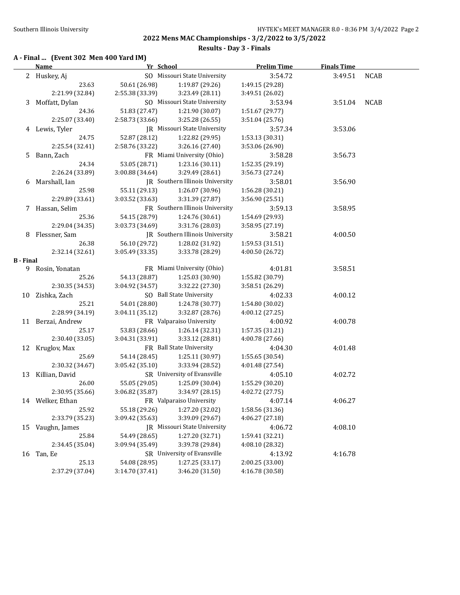**Results - Day 3 - Finals**

### **A - Final ... (Event 302 Men 400 Yard IM)**

|                  | <b>Name</b>              | Yr School       |                                             | <b>Prelim Time</b>         | <b>Finals Time</b> |             |
|------------------|--------------------------|-----------------|---------------------------------------------|----------------------------|--------------------|-------------|
|                  | 2 Huskey, Aj             |                 | SO Missouri State University                | 3:54.72                    | 3:49.51            | <b>NCAB</b> |
|                  | 23.63                    | 50.61 (26.98)   | 1:19.87 (29.26)                             | 1:49.15 (29.28)            |                    |             |
|                  | 2:21.99 (32.84)          | 2:55.38 (33.39) | 3:23.49 (28.11)                             | 3:49.51 (26.02)            |                    |             |
| 3                | Moffatt, Dylan           |                 | SO Missouri State University                | 3:53.94                    | 3:51.04            | <b>NCAB</b> |
|                  | 24.36                    | 51.83 (27.47)   | 1:21.90 (30.07)                             | 1:51.67 (29.77)            |                    |             |
|                  | 2:25.07 (33.40)          | 2:58.73 (33.66) | 3:25.28 (26.55)                             | 3:51.04 (25.76)            |                    |             |
|                  | 4 Lewis, Tyler           |                 | JR Missouri State University                | 3:57.34                    | 3:53.06            |             |
|                  | 24.75                    | 52.87 (28.12)   | 1:22.82 (29.95)                             | 1:53.13 (30.31)            |                    |             |
|                  | 2:25.54 (32.41)          | 2:58.76 (33.22) | 3:26.16 (27.40)                             | 3:53.06 (26.90)            |                    |             |
| 5.               | Bann, Zach               |                 | FR Miami University (Ohio)                  | 3:58.28                    | 3:56.73            |             |
|                  | 24.34                    | 53.05 (28.71)   | 1:23.16 (30.11)                             | 1:52.35 (29.19)            |                    |             |
|                  | 2:26.24 (33.89)          | 3:00.88 (34.64) | 3:29.49 (28.61)                             | 3:56.73 (27.24)            |                    |             |
|                  | 6 Marshall, Ian          |                 | JR Southern Illinois University             | 3:58.01                    | 3:56.90            |             |
|                  | 25.98                    | 55.11 (29.13)   | 1:26.07 (30.96)                             | 1:56.28 (30.21)            |                    |             |
|                  | 2:29.89 (33.61)          | 3:03.52 (33.63) | 3:31.39 (27.87)                             | 3:56.90 (25.51)            |                    |             |
|                  | 7 Hassan, Selim          |                 | FR Southern Illinois University             | 3:59.13                    | 3:58.95            |             |
|                  | 25.36                    | 54.15 (28.79)   | 1:24.76 (30.61)                             | 1:54.69 (29.93)            |                    |             |
|                  | 2:29.04 (34.35)          | 3:03.73 (34.69) | 3:31.76 (28.03)                             | 3:58.95 (27.19)            |                    |             |
|                  | 8 Flessner, Sam          |                 | JR Southern Illinois University             | 3:58.21                    | 4:00.50            |             |
|                  | 26.38                    | 56.10 (29.72)   | 1:28.02 (31.92)                             | 1:59.53 (31.51)            |                    |             |
|                  | 2:32.14 (32.61)          | 3:05.49 (33.35) | 3:33.78 (28.29)                             | 4:00.50 (26.72)            |                    |             |
| <b>B</b> - Final |                          |                 |                                             |                            |                    |             |
|                  | 9 Rosin, Yonatan         |                 | FR Miami University (Ohio)                  | 4:01.81                    | 3:58.51            |             |
|                  | 25.26                    | 54.13 (28.87)   | 1:25.03 (30.90)                             | 1:55.82 (30.79)            |                    |             |
|                  | 2:30.35 (34.53)          | 3:04.92 (34.57) | 3:32.22 (27.30)                             | 3:58.51 (26.29)            |                    |             |
|                  | 10 Zishka, Zach          |                 | SO Ball State University                    | 4:02.33                    | 4:00.12            |             |
|                  | 25.21                    | 54.01 (28.80)   | 1:24.78 (30.77)                             | 1:54.80 (30.02)            |                    |             |
|                  | 2:28.99 (34.19)          | 3:04.11(35.12)  | 3:32.87 (28.76)                             | 4:00.12 (27.25)            |                    |             |
|                  | 11 Berzai, Andrew        |                 | FR Valparaiso University                    | 4:00.92                    | 4:00.78            |             |
|                  | 25.17                    | 53.83 (28.66)   | 1:26.14 (32.31)                             | 1:57.35 (31.21)            |                    |             |
|                  | 2:30.40 (33.05)          | 3:04.31 (33.91) | 3:33.12 (28.81)<br>FR Ball State University | 4:00.78 (27.66)            |                    |             |
|                  | 12 Kruglov, Max<br>25.69 | 54.14 (28.45)   | 1:25.11 (30.97)                             | 4:04.30<br>1:55.65 (30.54) | 4:01.48            |             |
|                  | 2:30.32 (34.67)          | 3:05.42(35.10)  | 3:33.94 (28.52)                             | 4:01.48 (27.54)            |                    |             |
|                  | 13 Killian, David        |                 | SR University of Evansville                 | 4:05.10                    | 4:02.72            |             |
|                  | 26.00                    | 55.05 (29.05)   | 1:25.09 (30.04)                             | 1:55.29 (30.20)            |                    |             |
|                  | 2:30.95 (35.66)          | 3:06.82 (35.87) | 3:34.97 (28.15)                             | 4:02.72 (27.75)            |                    |             |
|                  | 14 Welker, Ethan         |                 | FR Valparaiso University                    | 4:07.14                    | 4:06.27            |             |
|                  | 25.92                    | 55.18 (29.26)   | 1:27.20 (32.02)                             | 1:58.56 (31.36)            |                    |             |
|                  | 2:33.79 (35.23)          | 3:09.42 (35.63) | 3:39.09 (29.67)                             | 4:06.27 (27.18)            |                    |             |
|                  | 15 Vaughn, James         |                 | JR Missouri State University                | 4:06.72                    | 4:08.10            |             |
|                  | 25.84                    | 54.49 (28.65)   | 1:27.20 (32.71)                             | 1:59.41 (32.21)            |                    |             |
|                  | 2:34.45 (35.04)          | 3:09.94 (35.49) | 3:39.78 (29.84)                             | 4:08.10 (28.32)            |                    |             |
|                  | 16 Tan, Ee               |                 | SR University of Evansville                 | 4:13.92                    | 4:16.78            |             |
|                  | 25.13                    | 54.08 (28.95)   | 1:27.25 (33.17)                             | 2:00.25 (33.00)            |                    |             |
|                  | 2:37.29 (37.04)          | 3:14.70 (37.41) | 3:46.20 (31.50)                             | 4:16.78 (30.58)            |                    |             |
|                  |                          |                 |                                             |                            |                    |             |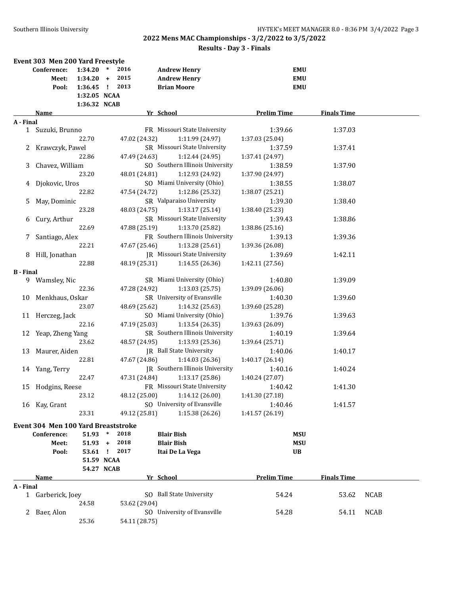### **Results - Day 3 - Finals**

|                  | Event 303 Men 200 Yard Freestyle    |                          |              |               |                                        |                          |                    |             |
|------------------|-------------------------------------|--------------------------|--------------|---------------|----------------------------------------|--------------------------|--------------------|-------------|
|                  | Conference:                         | 1:34.20                  | $\ast$       | 2016          | <b>Andrew Henry</b>                    | <b>EMU</b>               |                    |             |
|                  | Meet:                               | $1:34.20 +$              |              | 2015          | <b>Andrew Henry</b>                    | <b>EMU</b>               |                    |             |
|                  | Pool:                               | 1:36.45                  | $\mathbf{I}$ | 2013          | <b>Brian Moore</b>                     | <b>EMU</b>               |                    |             |
|                  |                                     | 1:32.05 NCAA             |              |               |                                        |                          |                    |             |
|                  |                                     | 1:36.32 NCAB             |              |               |                                        |                          |                    |             |
|                  | Name                                |                          |              |               | Yr School                              | <b>Prelim Time</b>       | <b>Finals Time</b> |             |
| A - Final        |                                     |                          |              |               |                                        |                          |                    |             |
|                  | 1 Suzuki, Brunno                    |                          |              |               | FR Missouri State University           | 1:39.66                  | 1:37.03            |             |
|                  |                                     | 22.70                    |              | 47.02 (24.32) | 1:11.99 (24.97)                        | 1:37.03 (25.04)          |                    |             |
|                  | 2 Krawczyk, Pawel                   |                          |              |               | SR Missouri State University           | 1:37.59                  | 1:37.41            |             |
|                  |                                     | 22.86                    |              | 47.49 (24.63) | 1:12.44 (24.95)                        | 1:37.41 (24.97)          |                    |             |
| 3                | Chavez, William                     |                          |              |               | SO Southern Illinois University        | 1:38.59                  | 1:37.90            |             |
|                  |                                     | 23.20                    |              | 48.01 (24.81) | 1:12.93 (24.92)                        | 1:37.90 (24.97)          |                    |             |
|                  | 4 Djokovic, Uros                    |                          |              |               | SO Miami University (Ohio)             | 1:38.55                  | 1:38.07            |             |
|                  |                                     | 22.82                    |              | 47.54 (24.72) | 1:12.86 (25.32)                        | 1:38.07 (25.21)          |                    |             |
| 5.               | May, Dominic                        |                          |              |               | SR Valparaiso University               | 1:39.30                  | 1:38.40            |             |
|                  |                                     | 23.28                    |              | 48.03 (24.75) | 1:13.17 (25.14)                        | 1:38.40 (25.23)          |                    |             |
|                  |                                     |                          |              |               | SR Missouri State University           | 1:39.43                  |                    |             |
| 6                | Cury, Arthur                        | 22.69                    |              |               |                                        |                          | 1:38.86            |             |
|                  |                                     |                          |              | 47.88 (25.19) | 1:13.70 (25.82)                        | 1:38.86 (25.16)          |                    |             |
| 7.               | Santiago, Alex                      |                          |              |               | FR Southern Illinois University        | 1:39.13                  | 1:39.36            |             |
|                  |                                     | 22.21                    |              | 47.67 (25.46) | 1:13.28(25.61)                         | 1:39.36 (26.08)          |                    |             |
|                  | 8 Hill, Jonathan                    |                          |              |               | JR Missouri State University           | 1:39.69                  | 1:42.11            |             |
|                  |                                     | 22.88                    |              | 48.19 (25.31) | 1:14.55(26.36)                         | 1:42.11 (27.56)          |                    |             |
| <b>B</b> - Final |                                     |                          |              |               |                                        |                          |                    |             |
| 9.               | Wamsley, Nic                        |                          |              |               | SR Miami University (Ohio)             | 1:40.80                  | 1:39.09            |             |
|                  |                                     | 22.36                    |              | 47.28 (24.92) | 1:13.03(25.75)                         | 1:39.09 (26.06)          |                    |             |
| 10               | Menkhaus, Oskar                     |                          |              |               | SR University of Evansville            | 1:40.30                  | 1:39.60            |             |
|                  |                                     | 23.07                    |              | 48.69 (25.62) | 1:14.32 (25.63)                        | 1:39.60 (25.28)          |                    |             |
|                  | 11 Herczeg, Jack                    |                          |              |               | SO Miami University (Ohio)             | 1:39.76                  | 1:39.63            |             |
|                  |                                     | 22.16                    |              | 47.19 (25.03) | 1:13.54 (26.35)                        | 1:39.63 (26.09)          |                    |             |
| 12               | Yeap, Zheng Yang                    |                          |              |               | SR Southern Illinois University        | 1:40.19                  | 1:39.64            |             |
|                  |                                     | 23.62                    |              | 48.57 (24.95) | 1:13.93 (25.36)                        | 1:39.64 (25.71)          |                    |             |
| 13               | Maurer, Aiden                       |                          |              |               | JR Ball State University               | 1:40.06                  | 1:40.17            |             |
|                  |                                     | 22.81                    |              | 47.67 (24.86) | 1:14.03 (26.36)                        | 1:40.17 (26.14)          |                    |             |
|                  | 14 Yang, Terry                      |                          |              |               | JR Southern Illinois University        | 1:40.16                  | 1:40.24            |             |
|                  |                                     | 22.47                    |              | 47.31 (24.84) | 1:13.17(25.86)                         | 1:40.24 (27.07)          |                    |             |
|                  | 15 Hodgins, Reese                   |                          |              |               | FR Missouri State University           | 1:40.42                  | 1:41.30            |             |
|                  |                                     | 23.12                    |              |               | 48.12 (25.00) 1:14.12 (26.00)          | 1:41.30 (27.18)          |                    |             |
|                  | 16 Kay, Grant                       |                          |              |               | SO University of Evansville            | 1:40.46                  | 1:41.57            |             |
|                  |                                     | 23.31                    |              | 49.12 (25.81) | 1:15.38(26.26)                         | 1:41.57 (26.19)          |                    |             |
|                  |                                     |                          |              |               |                                        |                          |                    |             |
|                  | Event 304 Men 100 Yard Breaststroke |                          | $\ast$       | 2018          |                                        |                          |                    |             |
|                  | Conference:<br>Meet:                | 51.93<br>51.93           | $\ddot{}$    | 2018          | <b>Blair Bish</b><br><b>Blair Bish</b> | <b>MSU</b><br><b>MSU</b> |                    |             |
|                  |                                     |                          |              | 2017          |                                        | <b>UB</b>                |                    |             |
|                  | Pool:                               | 53.61 !                  |              |               | Itai De La Vega                        |                          |                    |             |
|                  |                                     | 51.59 NCAA<br>54.27 NCAB |              |               |                                        |                          |                    |             |
|                  | <u>Name</u>                         |                          |              |               | Yr School                              | <b>Prelim Time</b>       | <b>Finals Time</b> |             |
| A - Final        |                                     |                          |              |               |                                        |                          |                    |             |
|                  | 1 Garberick, Joey                   |                          |              |               | SO Ball State University               | 54.24                    | 53.62              | <b>NCAB</b> |
|                  |                                     | 24.58                    |              | 53.62 (29.04) |                                        |                          |                    |             |
|                  | 2 Baer, Alon                        |                          |              |               | SO University of Evansville            | 54.28                    | 54.11              | <b>NCAB</b> |
|                  |                                     | 25.36                    |              | 54.11 (28.75) |                                        |                          |                    |             |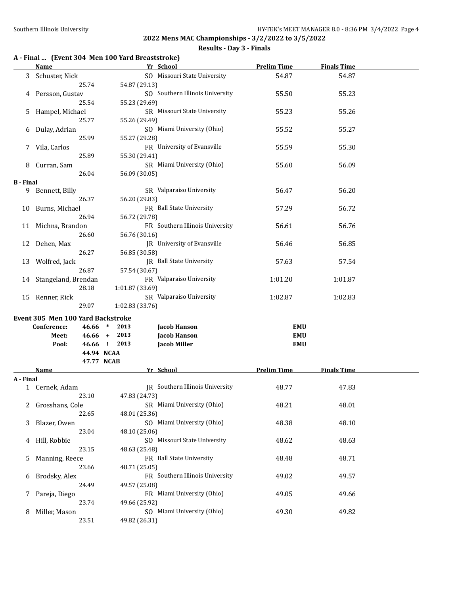#### **Results - Day 3 - Finals**

### **A - Final ... (Event 304 Men 100 Yard Breaststroke)**

|                  | <b>Name</b>                       | Yr School                                        | <b>Prelim Time</b> | <b>Finals Time</b> |  |
|------------------|-----------------------------------|--------------------------------------------------|--------------------|--------------------|--|
|                  | 3 Schuster, Nick<br>25.74         | SO Missouri State University<br>54.87 (29.13)    | 54.87              | 54.87              |  |
| 4                | Persson, Gustav                   | SO Southern Illinois University                  | 55.50              | 55.23              |  |
| 5                | 25.54<br>Hampel, Michael          | 55.23 (29.69)<br>SR Missouri State University    | 55.23              | 55.26              |  |
| 6                | 25.77<br>Dulay, Adrian            | 55.26 (29.49)<br>SO Miami University (Ohio)      | 55.52              | 55.27              |  |
|                  | 25.99<br>7 Vila, Carlos           | 55.27 (29.28)<br>FR University of Evansville     | 55.59              | 55.30              |  |
|                  | 25.89                             | 55.30 (29.41)                                    |                    |                    |  |
| 8                | Curran, Sam<br>26.04              | SR Miami University (Ohio)<br>56.09 (30.05)      | 55.60              | 56.09              |  |
| <b>B</b> - Final |                                   |                                                  |                    |                    |  |
| 9.               | Bennett, Billy<br>26.37           | SR Valparaiso University<br>56.20 (29.83)        | 56.47              | 56.20              |  |
|                  | 10 Burns, Michael<br>26.94        | FR Ball State University<br>56.72 (29.78)        | 57.29              | 56.72              |  |
|                  | 11 Michna, Brandon                | FR Southern Illinois University                  | 56.61              | 56.76              |  |
| 12               | 26.60<br>Dehen, Max               | 56.76 (30.16)<br>JR University of Evansville     | 56.46              | 56.85              |  |
| 13               | 26.27<br>Wolfred, Jack            | 56.85 (30.58)<br>JR Ball State University        | 57.63              | 57.54              |  |
|                  | 26.87<br>14 Stangeland, Brendan   | 57.54 (30.67)<br>FR Valparaiso University        | 1:01.20            | 1:01.87            |  |
|                  | 28.18<br>15 Renner, Rick          | 1:01.87 (33.69)<br>SR Valparaiso University      | 1:02.87            | 1:02.83            |  |
|                  | 29.07                             | 1:02.83 (33.76)                                  |                    |                    |  |
|                  | Event 305 Men 100 Yard Backstroke |                                                  |                    |                    |  |
|                  | Conference:<br>46.66              | 2013<br>Jacob Hanson<br>$\ast$                   | <b>EMU</b>         |                    |  |
|                  | $46.66 +$<br>Meet:                | 2013<br>Jacob Hanson                             | <b>EMU</b>         |                    |  |
|                  | Pool:                             | 46.66 ! 2013<br><b>Jacob Miller</b>              | <b>EMU</b>         |                    |  |
|                  |                                   | 44.94 NCAA                                       |                    |                    |  |
|                  |                                   | 47.77 NCAB                                       |                    |                    |  |
|                  | <b>Name</b>                       | Yr School                                        | <b>Prelim Time</b> | <b>Finals Time</b> |  |
| A - Final        |                                   |                                                  |                    |                    |  |
|                  | 1 Cernek, Adam<br>23.10           | JR Southern Illinois University<br>47.83 (24.73) | 48.77              | 47.83              |  |
|                  | 2 Grosshans, Cole<br>22.65        | SR Miami University (Ohio)<br>48.01 (25.36)      | 48.21              | 48.01              |  |
| 3                | Blazer, Owen<br>23.04             | SO Miami University (Ohio)<br>48.10 (25.06)      | 48.38              | 48.10              |  |
| 4                | Hill, Robbie<br>23.15             | SO Missouri State University                     | 48.62              | 48.63              |  |
| 5                | Manning, Reece                    | 48.63 (25.48)<br>FR Ball State University        | 48.48              | 48.71              |  |
| 6                | 23.66<br>Brodsky, Alex            | 48.71 (25.05)<br>FR Southern Illinois University | 49.02              | 49.57              |  |
|                  | 24.49<br>7 Pareja, Diego          | 49.57 (25.08)<br>FR Miami University (Ohio)      | 49.05              | 49.66              |  |
|                  |                                   | 49.66 (25.92)                                    |                    |                    |  |
| 8                | 23.74<br>Miller, Mason            | SO Miami University (Ohio)                       | 49.30              | 49.82              |  |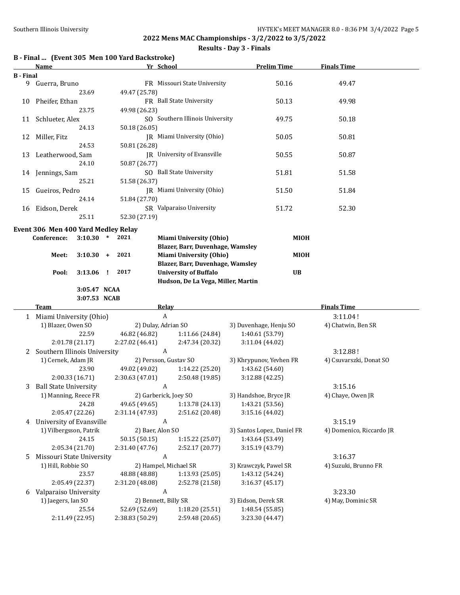#### **Results - Day 3 - Finals**

|                  | Name                                |                 |              | B - Final  (Event 305 Men 100 Yard Backstroke) | Yr School                                                          | <b>Prelim Time</b>                     | <b>Finals Time</b>       |
|------------------|-------------------------------------|-----------------|--------------|------------------------------------------------|--------------------------------------------------------------------|----------------------------------------|--------------------------|
| <b>B</b> - Final |                                     |                 |              |                                                |                                                                    |                                        |                          |
|                  | 9 Guerra, Bruno                     |                 |              |                                                | FR Missouri State University                                       | 50.16                                  | 49.47                    |
|                  |                                     | 23.69           |              | 49.47 (25.78)                                  |                                                                    |                                        |                          |
| 10               | Pheifer, Ethan                      |                 |              |                                                | FR Ball State University                                           | 50.13                                  | 49.98                    |
|                  |                                     | 23.75           |              | 49.98 (26.23)                                  |                                                                    |                                        |                          |
| 11               | Schlueter, Alex                     |                 |              |                                                | SO Southern Illinois University                                    | 49.75                                  | 50.18                    |
|                  |                                     | 24.13           |              | 50.18 (26.05)                                  |                                                                    |                                        |                          |
| 12               | Miller, Fitz                        |                 |              |                                                | JR Miami University (Ohio)                                         | 50.05                                  | 50.81                    |
|                  |                                     | 24.53           |              | 50.81 (26.28)                                  |                                                                    |                                        |                          |
| 13               | Leatherwood, Sam                    |                 |              |                                                | JR University of Evansville                                        | 50.55                                  | 50.87                    |
|                  |                                     | 24.10           |              | 50.87 (26.77)                                  |                                                                    |                                        |                          |
|                  | 14 Jennings, Sam                    |                 |              |                                                | SO Ball State University                                           | 51.81                                  | 51.58                    |
|                  |                                     | 25.21           |              | 51.58 (26.37)                                  |                                                                    |                                        |                          |
| 15               | Gueiros, Pedro                      |                 |              |                                                | JR Miami University (Ohio)                                         | 51.50                                  | 51.84                    |
|                  |                                     | 24.14           |              | 51.84 (27.70)                                  |                                                                    |                                        |                          |
| 16               | Eidson, Derek                       |                 |              |                                                | SR Valparaiso University                                           | 51.72                                  | 52.30                    |
|                  |                                     | 25.11           |              | 52.30 (27.19)                                  |                                                                    |                                        |                          |
|                  |                                     |                 |              |                                                |                                                                    |                                        |                          |
|                  | Event 306 Men 400 Yard Medley Relay |                 |              | 2021                                           |                                                                    |                                        |                          |
|                  | Conference:                         | $3:10.30$ *     |              |                                                | <b>Miami University (Ohio)</b><br>Blazer, Barr, Duvenhage, Wamsley | <b>MIOH</b>                            |                          |
|                  |                                     |                 |              | 2021                                           |                                                                    |                                        |                          |
|                  | Meet:                               | $3:10.30 +$     |              |                                                | Miami University (Ohio)<br>Blazer, Barr, Duvenhage, Wamsley        | MIOH                                   |                          |
|                  |                                     | 3:13.06         | $\mathbf{I}$ | 2017                                           | <b>University of Buffalo</b>                                       | UB                                     |                          |
|                  | Pool:                               |                 |              |                                                | Hudson, De La Vega, Miller, Martin                                 |                                        |                          |
|                  |                                     | 3:05.47 NCAA    |              |                                                |                                                                    |                                        |                          |
|                  |                                     | 3:07.53 NCAB    |              |                                                |                                                                    |                                        |                          |
|                  | Team                                |                 |              |                                                | <b>Relay</b>                                                       |                                        | <b>Finals Time</b>       |
|                  | 1 Miami University (Ohio)           |                 |              |                                                | $\boldsymbol{A}$                                                   |                                        | 3:11.04!                 |
|                  | 1) Blazer, Owen SO                  |                 |              |                                                | 2) Dulay, Adrian SO                                                | 3) Duvenhage, Henju SO                 | 4) Chatwin, Ben SR       |
|                  |                                     | 22.59           |              | 46.82 (46.82)                                  | 1:11.66 (24.84)                                                    | 1:40.61 (53.79)                        |                          |
|                  |                                     | 2:01.78 (21.17) |              | 2:27.02 (46.41)                                | 2:47.34 (20.32)                                                    | 3:11.04 (44.02)                        |                          |
| 2                | Southern Illinois University        |                 |              |                                                | $\mathbf{A}$                                                       |                                        | 3:12.88!                 |
|                  | 1) Cernek, Adam JR                  |                 |              |                                                | 2) Persson, Gustav SO                                              | 3) Khrypunov, Yevhen FR                | 4) Csuvarszki, Donat SO  |
|                  |                                     | 23.90           |              | 49.02 (49.02)                                  | 1:14.22(25.20)                                                     | 1:43.62 (54.60)                        |                          |
|                  |                                     | 2:00.33 (16.71) |              | 2:30.63(47.01)                                 | 2:50.48(19.85)                                                     | 3:12.88(42.25)                         |                          |
|                  | 3 Ball State University             |                 |              | $\overline{A}$                                 |                                                                    |                                        | 3:15.16                  |
|                  | 1) Manning, Reece FR                |                 |              |                                                | 2) Garberick, Joey SO                                              | 3) Handshoe, Bryce JR                  | 4) Chaye, Owen JR        |
|                  |                                     | 24.28           |              | 49.65 (49.65)                                  | 1:13.78 (24.13)                                                    | 1:43.21 (53.56)                        |                          |
|                  |                                     | 2:05.47 (22.26) |              | 2:31.14 (47.93)                                | 2:51.62 (20.48)                                                    | 3:15.16 (44.02)                        |                          |
| 4                | University of Evansville            |                 |              |                                                | A                                                                  |                                        | 3:15.19                  |
|                  | 1) Vilbergsson, Patrik              |                 |              |                                                | 2) Baer, Alon SO                                                   | 3) Santos Lopez, Daniel FR             | 4) Domenico, Riccardo JR |
|                  |                                     | 24.15           |              | 50.15 (50.15)                                  | 1:15.22 (25.07)                                                    | 1:43.64 (53.49)                        |                          |
|                  |                                     | 2:05.34 (21.70) |              | 2:31.40 (47.76)                                | 2:52.17 (20.77)                                                    | 3:15.19 (43.79)                        |                          |
| 5                | Missouri State University           |                 |              |                                                | A                                                                  |                                        | 3:16.37                  |
|                  | 1) Hill, Robbie SO                  |                 |              |                                                | 2) Hampel, Michael SR                                              | 3) Krawczyk, Pawel SR                  | 4) Suzuki, Brunno FR     |
|                  |                                     | 23.57           |              | 48.88 (48.88)                                  | 1:13.93(25.05)                                                     | 1:43.12 (54.24)                        |                          |
|                  |                                     |                 |              |                                                | 2:52.78 (21.58)                                                    | 3:16.37(45.17)                         |                          |
|                  |                                     | 2:05.49 (22.37) |              | 2:31.20 (48.08)                                | $\boldsymbol{A}$                                                   |                                        |                          |
| 6                | Valparaiso University               |                 |              |                                                |                                                                    |                                        | 3:23.30                  |
|                  | 1) Jaegers, Ian SO                  | 25.54           |              |                                                | 2) Bennett, Billy SR<br>1:18.20 (25.51)                            | 3) Eidson, Derek SR<br>1:48.54 (55.85) | 4) May, Dominic SR       |
|                  |                                     | 2:11.49 (22.95) |              | 52.69 (52.69)<br>2:38.83 (50.29)               | 2:59.48 (20.65)                                                    | 3:23.30 (44.47)                        |                          |
|                  |                                     |                 |              |                                                |                                                                    |                                        |                          |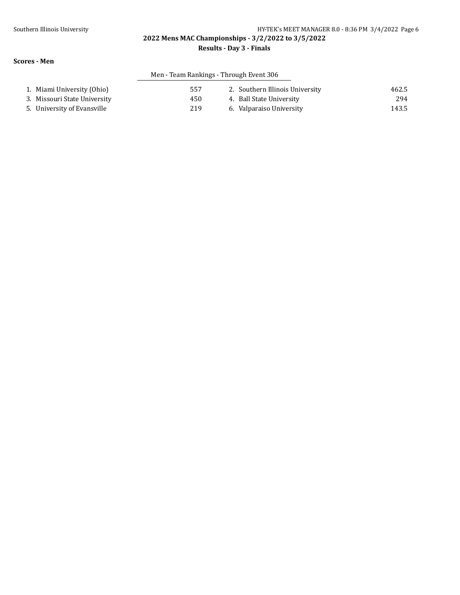### Southern Illinois University **HY-TEK's MEET MANAGER 8.0 - 8:36 PM 3/4/2022** Page 6

**2022 Mens MAC Championships - 3/2/2022 to 3/5/2022**

#### **Results - Day 3 - Finals**

#### **Scores - Men**

## Men - Team Rankings - Through Event 306

| 1. Miami University (Ohio)   | 557 | 2. Southern Illinois University | 462.5 |
|------------------------------|-----|---------------------------------|-------|
| 3. Missouri State University | 450 | 4. Ball State University        | 294   |
| 5. University of Evansville  | 219 | 6. Valparaiso University        | 143.5 |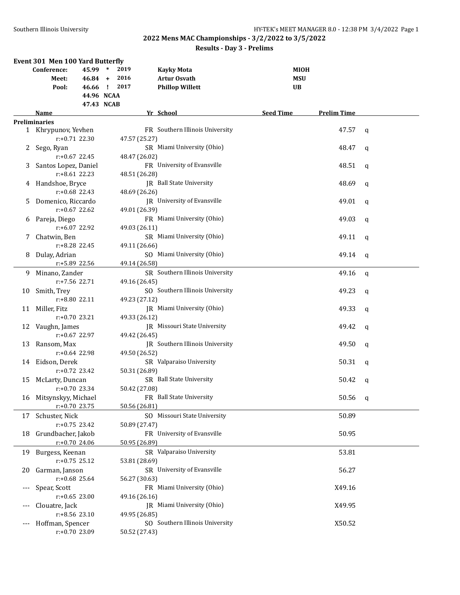|       | <b>Event 301 Men 100 Yard Butterfly</b> |            |        |               |                                 |                  |            |                    |     |
|-------|-----------------------------------------|------------|--------|---------------|---------------------------------|------------------|------------|--------------------|-----|
|       | Conference:                             | 45.99      | $\ast$ | 2019          | <b>Kayky Mota</b>               |                  | MIOH       |                    |     |
|       | Meet:                                   | $46.84 +$  |        | 2016          | <b>Artur Osvath</b>             |                  | <b>MSU</b> |                    |     |
|       | Pool:                                   | 46.66 !    |        | 2017          | <b>Phillop Willett</b>          |                  | UB         |                    |     |
|       |                                         | 44.96 NCAA |        |               |                                 |                  |            |                    |     |
|       |                                         | 47.43 NCAB |        |               |                                 |                  |            |                    |     |
|       | Name                                    |            |        |               | Yr School                       | <b>Seed Time</b> |            | <b>Prelim Time</b> |     |
|       | <b>Preliminaries</b>                    |            |        |               |                                 |                  |            |                    |     |
|       | 1 Khrypunov, Yevhen                     |            |        |               | FR Southern Illinois University |                  |            | 47.57              | q   |
|       | $r: +0.71$ 22.30                        |            |        | 47.57 (25.27) |                                 |                  |            |                    |     |
|       | Sego, Ryan                              |            |        |               | SR Miami University (Ohio)      |                  |            | 48.47              | q   |
|       | $r: +0.67$ 22.45                        |            |        | 48.47 (26.02) |                                 |                  |            |                    |     |
| 3     | Santos Lopez, Daniel                    |            |        |               | FR University of Evansville     |                  |            | 48.51              | q   |
|       | $r: +8.61$ 22.23                        |            |        | 48.51 (26.28) |                                 |                  |            |                    |     |
| 4     | Handshoe, Bryce                         |            |        |               | <b>IR</b> Ball State University |                  |            | 48.69              | q   |
|       | $r: +0.68$ 22.43                        |            |        | 48.69 (26.26) |                                 |                  |            |                    |     |
| 5     | Domenico, Riccardo                      |            |        |               | JR University of Evansville     |                  |            | 49.01              | q   |
|       | $r: +0.67$ 22.62                        |            |        | 49.01 (26.39) |                                 |                  |            |                    |     |
| 6     | Pareja, Diego                           |            |        |               | FR Miami University (Ohio)      |                  |            | 49.03              | q   |
|       | r:+6.07 22.92                           |            |        | 49.03 (26.11) |                                 |                  |            |                    |     |
| 7.    | Chatwin, Ben                            |            |        |               | SR Miami University (Ohio)      |                  |            | 49.11              | q   |
|       | r:+8.28 22.45                           |            |        | 49.11 (26.66) |                                 |                  |            |                    |     |
| 8     | Dulay, Adrian                           |            |        |               | SO Miami University (Ohio)      |                  |            | 49.14              | q   |
|       | r:+5.89 22.56                           |            |        | 49.14 (26.58) |                                 |                  |            |                    |     |
| 9     | Minano, Zander                          |            |        |               | SR Southern Illinois University |                  |            | 49.16              | q   |
|       | r:+7.56 22.71                           |            |        | 49.16 (26.45) |                                 |                  |            |                    |     |
| 10    | Smith, Trey                             |            |        |               | SO Southern Illinois University |                  |            | 49.23              | q   |
|       | r:+8.80 22.11                           |            |        | 49.23 (27.12) |                                 |                  |            |                    |     |
| 11    | Miller, Fitz                            |            |        |               | JR Miami University (Ohio)      |                  |            | 49.33              | q   |
|       | $r: +0.70$ 23.21                        |            |        | 49.33 (26.12) |                                 |                  |            |                    |     |
| 12    | Vaughn, James                           |            |        |               | JR Missouri State University    |                  |            | 49.42              | q   |
|       | $r: +0.67$ 22.97                        |            |        | 49.42 (26.45) |                                 |                  |            |                    |     |
| 13    | Ransom, Max                             |            |        |               | JR Southern Illinois University |                  |            | 49.50              | q   |
|       | $r: +0.64$ 22.98                        |            |        | 49.50 (26.52) |                                 |                  |            |                    |     |
| 14    | Eidson, Derek                           |            |        |               | SR Valparaiso University        |                  |            | 50.31              | q   |
|       | $r: +0.72$ 23.42                        |            |        | 50.31 (26.89) |                                 |                  |            |                    |     |
| 15    | McLarty, Duncan                         |            |        |               | SR Ball State University        |                  |            | 50.42              | q   |
|       | $r: +0.70$ 23.34                        |            |        | 50.42 (27.08) |                                 |                  |            |                    |     |
| 16    | Mitsynskyy, Michael                     |            |        |               | FR Ball State University        |                  |            | 50.56              | - q |
|       | $r: +0.70$ 23.75                        |            |        | 50.56 (26.81) |                                 |                  |            |                    |     |
| 17    | Schuster, Nick                          |            |        |               | SO Missouri State University    |                  |            | 50.89              |     |
|       | $r: +0.75$ 23.42                        |            |        | 50.89 (27.47) |                                 |                  |            |                    |     |
| 18    | Grundbacher, Jakob                      |            |        |               | FR University of Evansville     |                  |            | 50.95              |     |
|       | r:+0.70 24.06                           |            |        | 50.95 (26.89) |                                 |                  |            |                    |     |
| 19    | Burgess, Keenan                         |            |        |               | SR Valparaiso University        |                  |            | 53.81              |     |
|       | $r: +0.75$ 25.12                        |            |        | 53.81 (28.69) |                                 |                  |            |                    |     |
| 20    | Garman, Janson                          |            |        |               | SR University of Evansville     |                  |            | 56.27              |     |
|       | $r: +0.68$ 25.64                        |            |        | 56.27 (30.63) |                                 |                  |            |                    |     |
| $---$ | Spear, Scott                            |            |        |               | FR Miami University (Ohio)      |                  |            | X49.16             |     |
|       | $r: +0.65$ 23.00                        |            |        | 49.16 (26.16) |                                 |                  |            |                    |     |
|       | Clouatre, Jack                          |            |        |               | JR Miami University (Ohio)      |                  |            | X49.95             |     |
|       | r:+8.56 23.10                           |            |        | 49.95 (26.85) |                                 |                  |            |                    |     |
|       | Hoffman, Spencer                        |            |        |               | SO Southern Illinois University |                  |            | X50.52             |     |
|       | r:+0.70 23.09                           |            |        | 50.52 (27.43) |                                 |                  |            |                    |     |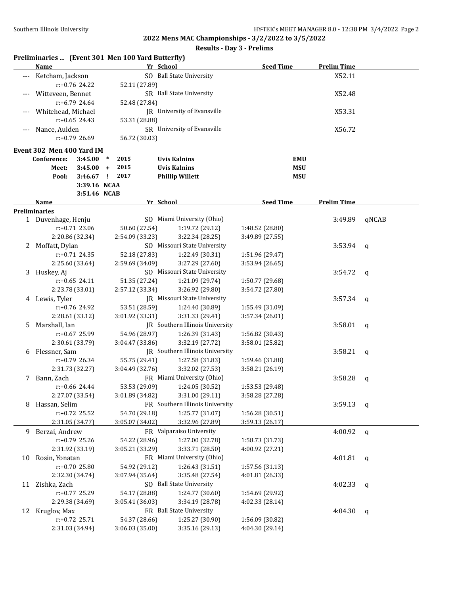#### **Results - Day 3 - Prelims**

#### **Preliminaries ... (Event 301 Men 100 Yard Butterfly)**

|    | <b>Name</b>                           |         | Yr School                    |                                 | <b>Seed Time</b> | <b>Prelim Time</b> |              |
|----|---------------------------------------|---------|------------------------------|---------------------------------|------------------|--------------------|--------------|
|    | Ketcham, Jackson                      |         |                              | SO Ball State University        |                  | X52.11             |              |
|    | $r: +0.76$ 24.22                      |         | 52.11 (27.89)                |                                 |                  |                    |              |
|    | Witteveen, Bennet                     |         |                              | SR Ball State University        |                  | X52.48             |              |
|    | r:+6.79 24.64                         |         | 52.48 (27.84)                |                                 |                  |                    |              |
|    | Whitehead, Michael                    |         |                              | JR University of Evansville     |                  | X53.31             |              |
|    | $r: +0.65$ 24.43                      |         | 53.31 (28.88)                |                                 |                  |                    |              |
|    | Nance, Aulden                         |         |                              | SR University of Evansville     |                  | X56.72             |              |
|    | r:+0.79 26.69                         |         | 56.72 (30.03)                |                                 |                  |                    |              |
|    |                                       |         |                              |                                 |                  |                    |              |
|    | Event 302 Men 400 Yard IM             |         |                              |                                 |                  |                    |              |
|    | Conference:                           | 3:45.00 | 2015<br>$\ast$               | <b>Uvis Kalnins</b>             | <b>EMU</b>       |                    |              |
|    | Meet:                                 | 3:45.00 | 2015<br>$\ddot{\phantom{1}}$ | <b>Uvis Kalnins</b>             | <b>MSU</b>       |                    |              |
|    | Pool:                                 | 3:46.67 | 2017<br>$\mathbf{I}$         | <b>Phillip Willett</b>          | <b>MSU</b>       |                    |              |
|    |                                       |         | 3:39.16 NCAA                 |                                 |                  |                    |              |
|    |                                       |         | 3:51.46 NCAB                 |                                 |                  |                    |              |
|    | Name                                  |         |                              | Yr School                       | <b>Seed Time</b> | <b>Prelim Time</b> |              |
|    | <b>Preliminaries</b>                  |         |                              |                                 |                  |                    |              |
|    | 1 Duvenhage, Henju                    |         |                              | SO Miami University (Ohio)      |                  | 3:49.89            | qNCAB        |
|    | r:+0.71 23.06                         |         | 50.60 (27.54)                | 1:19.72 (29.12)                 | 1:48.52 (28.80)  |                    |              |
|    | 2:20.86 (32.34)                       |         | 2:54.09 (33.23)              | 3:22.34 (28.25)                 | 3:49.89 (27.55)  |                    |              |
|    | 2 Moffatt, Dylan                      |         |                              | SO Missouri State University    |                  | 3:53.94            | q            |
|    | r:+0.71 24.35                         |         | 52.18 (27.83)                | 1:22.49 (30.31)                 | 1:51.96 (29.47)  |                    |              |
|    | 2:25.60 (33.64)                       |         | 2:59.69 (34.09)              | 3:27.29 (27.60)                 | 3:53.94 (26.65)  |                    |              |
|    | 3 Huskey, Aj                          |         |                              | SO Missouri State University    |                  | 3:54.72            | q            |
|    | $r: +0.65$ 24.11                      |         | 51.35 (27.24)                | 1:21.09 (29.74)                 | 1:50.77 (29.68)  |                    |              |
|    | 2:23.78 (33.01)                       |         | 2:57.12 (33.34)              | 3:26.92 (29.80)                 | 3:54.72 (27.80)  |                    |              |
|    | 4 Lewis, Tyler                        |         |                              | JR Missouri State University    |                  | 3:57.34            | q            |
|    | r:+0.76 24.92                         |         | 53.51 (28.59)                | 1:24.40 (30.89)                 | 1:55.49 (31.09)  |                    |              |
|    | 2:28.61 (33.12)                       |         | 3:01.92 (33.31)              | 3:31.33 (29.41)                 | 3:57.34 (26.01)  |                    |              |
| 5. | Marshall, Ian                         |         |                              | JR Southern Illinois University |                  | 3:58.01            | q            |
|    | r:+0.67 25.99                         |         | 54.96 (28.97)                | 1:26.39 (31.43)                 | 1:56.82 (30.43)  |                    |              |
|    | 2:30.61 (33.79)                       |         | 3:04.47 (33.86)              | 3:32.19 (27.72)                 | 3:58.01 (25.82)  |                    |              |
| 6  | Flessner, Sam                         |         |                              | JR Southern Illinois University |                  | 3:58.21            | q            |
|    | r:+0.79 26.34                         |         | 55.75 (29.41)                | 1:27.58 (31.83)                 | 1:59.46 (31.88)  |                    |              |
|    | 2:31.73 (32.27)                       |         | 3:04.49(32.76)               | 3:32.02 (27.53)                 | 3:58.21 (26.19)  |                    |              |
| 7  | Bann, Zach                            |         |                              | FR Miami University (Ohio)      |                  | 3:58.28            | q            |
|    | r:+0.66 24.44                         |         | 53.53 (29.09)                | 1:24.05 (30.52)                 | 1:53.53 (29.48)  |                    |              |
|    | 2:27.07 (33.54)                       |         | 3:01.89 (34.82)              | 3:31.00(29.11)                  | 3:58.28 (27.28)  |                    |              |
| 8  | Hassan, Selim                         |         |                              | FR Southern Illinois University |                  | 3:59.13            | q            |
|    | r:+0.72 25.52                         |         | 54.70 (29.18)                | 1:25.77 (31.07)                 | 1:56.28 (30.51)  |                    |              |
|    | 2:31.05 (34.77)                       |         | 3:05.07 (34.02)              | 3:32.96 (27.89)                 | 3:59.13 (26.17)  |                    |              |
|    | 9 Berzai, Andrew                      |         |                              | FR Valparaiso University        |                  | 4:00.92            | $\mathsf{q}$ |
|    | r:+0.79 25.26                         |         | 54.22 (28.96)                | 1:27.00 (32.78)                 | 1:58.73 (31.73)  |                    |              |
|    | 2:31.92 (33.19)                       |         | 3:05.21 (33.29)              | 3:33.71 (28.50)                 | 4:00.92 (27.21)  |                    |              |
| 10 | Rosin, Yonatan                        |         |                              | FR Miami University (Ohio)      |                  | 4:01.81            | $\mathbf{q}$ |
|    | r:+0.70 25.80                         |         | 54.92 (29.12)                | 1:26.43 (31.51)                 | 1:57.56 (31.13)  |                    |              |
|    | 2:32.30 (34.74)                       |         | 3:07.94 (35.64)              | 3:35.48 (27.54)                 | 4:01.81 (26.33)  |                    |              |
| 11 | Zishka, Zach                          |         |                              | SO Ball State University        |                  | 4:02.33            | q            |
|    | r:+0.77 25.29                         |         | 54.17 (28.88)                | 1:24.77 (30.60)                 | 1:54.69 (29.92)  |                    |              |
|    |                                       |         | 3:05.41 (36.03)              | 3:34.19 (28.78)                 | 4:02.33 (28.14)  |                    |              |
|    | 2:29.38 (34.69)<br>Kruglov, Max<br>12 |         |                              | FR Ball State University        |                  | 4:04.30            |              |
|    | r:+0.72 25.71                         |         | 54.37 (28.66)                | 1:25.27 (30.90)                 | 1:56.09 (30.82)  |                    | $\mathsf{q}$ |
|    |                                       |         |                              |                                 |                  |                    |              |
|    | 2:31.03 (34.94)                       |         | 3:06.03 (35.00)              | 3:35.16 (29.13)                 | 4:04.30 (29.14)  |                    |              |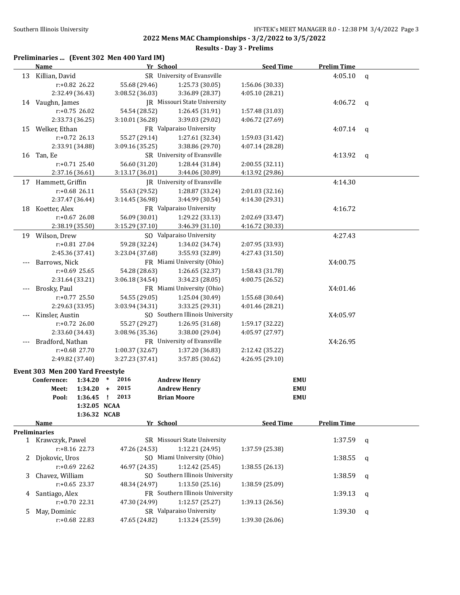|  |  | Preliminaries  (Event 302 Men 400 Yard IM) |  |
|--|--|--------------------------------------------|--|
|--|--|--------------------------------------------|--|

|       | <b>Name</b>                                         | Yr School         |                                    | <b>Seed Time</b>                   | <b>Prelim Time</b> |              |
|-------|-----------------------------------------------------|-------------------|------------------------------------|------------------------------------|--------------------|--------------|
| 13    | Killian, David                                      |                   | SR University of Evansville        |                                    | 4:05.10            | $\mathsf{q}$ |
|       | r:+0.82 26.22                                       | 55.68 (29.46)     | 1:25.73 (30.05)                    | 1:56.06 (30.33)                    |                    |              |
|       | 2:32.49 (36.43)                                     | 3:08.52 (36.03)   | 3:36.89 (28.37)                    | 4:05.10 (28.21)                    |                    |              |
|       | 14 Vaughn, James                                    |                   | JR Missouri State University       |                                    | 4:06.72            | q            |
|       | $r: +0.75$ 26.02                                    | 54.54 (28.52)     | 1:26.45 (31.91)                    | 1:57.48 (31.03)                    |                    |              |
|       | 2:33.73 (36.25)                                     | 3:10.01 (36.28)   | 3:39.03 (29.02)                    | 4:06.72 (27.69)                    |                    |              |
| 15    | Welker, Ethan                                       |                   | FR Valparaiso University           |                                    | 4:07.14            | $\mathsf{q}$ |
|       | $r: +0.72$ 26.13                                    | 55.27 (29.14)     | 1:27.61 (32.34)                    | 1:59.03 (31.42)                    |                    |              |
|       | 2:33.91 (34.88)                                     | 3:09.16 (35.25)   | 3:38.86 (29.70)                    | 4:07.14 (28.28)                    |                    |              |
|       | 16 Tan, Ee                                          |                   | SR University of Evansville        |                                    | 4:13.92            | q            |
|       | r:+0.71 25.40                                       | 56.60 (31.20)     | 1:28.44 (31.84)                    | 2:00.55 (32.11)                    |                    |              |
|       | 2:37.16 (36.61)                                     | 3:13.17 (36.01)   | 3:44.06 (30.89)                    | 4:13.92 (29.86)                    |                    |              |
| 17    | Hammett, Griffin                                    |                   | <b>IR</b> University of Evansville |                                    | 4:14.30            |              |
|       | r:+0.68 26.11                                       | 55.63 (29.52)     | 1:28.87 (33.24)                    | 2:01.03 (32.16)                    |                    |              |
|       | 2:37.47 (36.44)                                     | 3:14.45 (36.98)   | 3:44.99 (30.54)                    | 4:14.30 (29.31)                    |                    |              |
| 18    | Koetter, Alex                                       |                   | FR Valparaiso University           |                                    | 4:16.72            |              |
|       | r:+0.67 26.08                                       | 56.09 (30.01)     |                                    |                                    |                    |              |
|       | 2:38.19 (35.50)                                     | 3:15.29 (37.10)   | 1:29.22 (33.13)                    | 2:02.69 (33.47)<br>4:16.72 (30.33) |                    |              |
|       |                                                     |                   | 3:46.39 (31.10)                    |                                    |                    |              |
|       | 19 Wilson, Drew                                     |                   | SO Valparaiso University           |                                    | 4:27.43            |              |
|       | r:+0.81 27.04                                       | 59.28 (32.24)     | 1:34.02 (34.74)                    | 2:07.95 (33.93)                    |                    |              |
|       | 2:45.36 (37.41)                                     | 3:23.04 (37.68)   | 3:55.93 (32.89)                    | 4:27.43 (31.50)                    |                    |              |
|       | Barrows, Nick                                       |                   | FR Miami University (Ohio)         |                                    | X4:00.75           |              |
|       | r:+0.69 25.65                                       | 54.28 (28.63)     | 1:26.65 (32.37)                    | 1:58.43 (31.78)                    |                    |              |
|       | 2:31.64 (33.21)                                     | 3:06.18 (34.54)   | 3:34.23 (28.05)                    | 4:00.75 (26.52)                    |                    |              |
|       | Brosky, Paul                                        |                   | FR Miami University (Ohio)         |                                    | X4:01.46           |              |
|       | r:+0.77 25.50                                       | 54.55 (29.05)     | 1:25.04 (30.49)                    | 1:55.68 (30.64)                    |                    |              |
|       | 2:29.63 (33.95)                                     | 3:03.94 (34.31)   | 3:33.25 (29.31)                    | 4:01.46 (28.21)                    |                    |              |
|       | Kinsler, Austin                                     |                   | SO Southern Illinois University    |                                    | X4:05.97           |              |
|       | r:+0.72 26.00                                       | 55.27 (29.27)     | 1:26.95 (31.68)                    | 1:59.17 (32.22)                    |                    |              |
|       | 2:33.60 (34.43)                                     | 3:08.96 (35.36)   | 3:38.00 (29.04)                    | 4:05.97 (27.97)                    |                    |              |
| $---$ | Bradford, Nathan                                    |                   | FR University of Evansville        |                                    | X4:26.95           |              |
|       | r:+0.68 27.70                                       | 1:00.37 (32.67)   | 1:37.20 (36.83)                    | 2:12.42 (35.22)                    |                    |              |
|       | 2:49.82 (37.40)                                     | 3:27.23 (37.41)   | 3:57.85 (30.62)                    | 4:26.95 (29.10)                    |                    |              |
|       | Event 303 Men 200 Yard Freestyle                    |                   |                                    |                                    |                    |              |
|       | Conference:<br>1:34.20                              | 2016<br>$\ast$    | <b>Andrew Henry</b>                | <b>EMU</b>                         |                    |              |
|       | 1:34.20<br>Meet:                                    | 2015<br>$\ddot{}$ | <b>Andrew Henry</b>                | <b>EMU</b>                         |                    |              |
|       | 1:36.45<br>Pool:                                    | 2013<br>÷         | <b>Brian Moore</b>                 | <b>EMU</b>                         |                    |              |
|       | 1:32.05 NCAA                                        |                   |                                    |                                    |                    |              |
|       | 1:36.32 NCAB                                        |                   |                                    |                                    |                    |              |
|       | <b>Name</b>                                         | Yr School         |                                    | <b>Seed Time</b>                   | <b>Prelim Time</b> |              |
|       | <b>Preliminaries</b>                                |                   |                                    |                                    |                    |              |
|       | 1 Krawczyk, Pawel                                   |                   | SR Missouri State University       |                                    | 1:37.59            | q            |
|       | r:+8.16 22.73                                       | 47.26 (24.53)     | 1:12.21 (24.95)                    | 1:37.59 (25.38)                    |                    |              |
|       | 2 Djokovic, Uros                                    |                   | SO Miami University (Ohio)         |                                    | 1:38.55            | q            |
|       | $r: +0.69$ 22.62                                    | 46.97 (24.35)     | 1:12.42(25.45)                     | 1:38.55 (26.13)                    |                    |              |
| 3     | Chavez, William                                     |                   | SO Southern Illinois University    |                                    | 1:38.59            | q            |
|       | 1:13.50(25.16)<br>$r: +0.65$ 23.37<br>48.34 (24.97) |                   | 1:38.59 (25.09)                    |                                    |                    |              |
| 4     | Santiago, Alex                                      |                   | FR Southern Illinois University    |                                    | 1:39.13            | q            |
|       | $r: +0.70$ 22.31                                    | 47.30 (24.99)     | 1:12.57 (25.27)                    | 1:39.13 (26.56)                    |                    |              |
| 5     | May, Dominic                                        |                   | SR Valparaiso University           |                                    | 1:39.30            | q            |
|       | r:+0.68 22.83                                       | 47.65 (24.82)     | 1:13.24 (25.59)                    | 1:39.30 (26.06)                    |                    |              |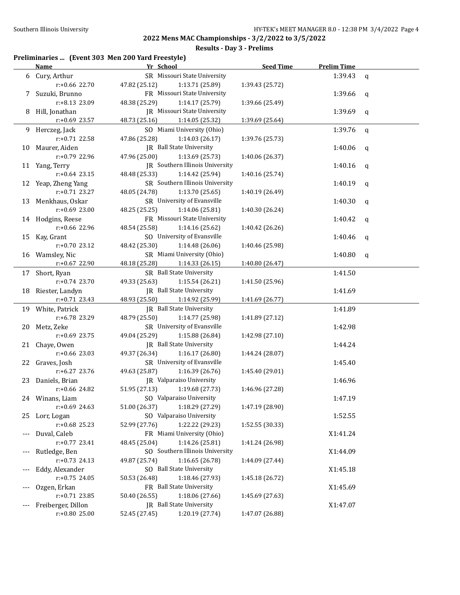#### **Results - Day 3 - Prelims**

#### **Preliminaries ... (Event 303 Men 200 Yard Freestyle)**

|       | <b>Name</b>        | Yr School                        | <b>Seed Time</b> | <b>Prelim Time</b> |              |
|-------|--------------------|----------------------------------|------------------|--------------------|--------------|
|       | 6 Cury, Arthur     | SR Missouri State University     |                  | 1:39.43            | q            |
|       | r:+0.66 22.70      | 47.82 (25.12)<br>1:13.71 (25.89) | 1:39.43 (25.72)  |                    |              |
| 7     | Suzuki, Brunno     | FR Missouri State University     |                  | 1:39.66            | $\mathbf{q}$ |
|       | r:+8.13 23.09      | 48.38 (25.29)<br>1:14.17 (25.79) | 1:39.66 (25.49)  |                    |              |
| 8     | Hill, Jonathan     | JR Missouri State University     |                  | 1:39.69            | q            |
|       | $r: +0.69$ 23.57   | 48.73 (25.16)<br>1:14.05 (25.32) | 1:39.69 (25.64)  |                    |              |
| 9     | Herczeg, Jack      | SO Miami University (Ohio)       |                  | 1:39.76            | $\mathsf{q}$ |
|       | r:+0.71 22.58      | 47.86 (25.28)<br>1:14.03 (26.17) | 1:39.76 (25.73)  |                    |              |
| 10    | Maurer, Aiden      | JR Ball State University         |                  | 1:40.06            | q            |
|       | r:+0.79 22.96      | 47.96 (25.00)<br>1:13.69 (25.73) | 1:40.06 (26.37)  |                    |              |
| 11    | Yang, Terry        | JR Southern Illinois University  |                  | 1:40.16            | $\mathbf{q}$ |
|       | $r: +0.64$ 23.15   | 48.48 (25.33)<br>1:14.42 (25.94) | 1:40.16 (25.74)  |                    |              |
| 12    | Yeap, Zheng Yang   | SR Southern Illinois University  |                  | 1:40.19            | $\mathbf{q}$ |
|       | r:+0.71 23.27      | 48.05 (24.78)<br>1:13.70 (25.65) | 1:40.19 (26.49)  |                    |              |
| 13    | Menkhaus, Oskar    | SR University of Evansville      |                  | 1:40.30            | $\mathbf{q}$ |
|       | $r: +0.69$ 23.00   | 48.25 (25.25)<br>1:14.06 (25.81) | 1:40.30 (26.24)  |                    |              |
| 14    | Hodgins, Reese     | FR Missouri State University     |                  | 1:40.42            | $\mathbf{q}$ |
|       | r:+0.66 22.96      | 48.54 (25.58)<br>1:14.16 (25.62) | 1:40.42 (26.26)  |                    |              |
| 15    | Kay, Grant         | SO University of Evansville      |                  | 1:40.46            | q            |
|       | r:+0.70 23.12      | 48.42 (25.30)<br>1:14.48 (26.06) | 1:40.46 (25.98)  |                    |              |
|       | 16 Wamsley, Nic    | SR Miami University (Ohio)       |                  | 1:40.80            | $\mathbf{q}$ |
|       | r:+0.67 22.90      | 48.18 (25.28)<br>1:14.33 (26.15) | 1:40.80 (26.47)  |                    |              |
| 17    | Short, Ryan        | SR Ball State University         |                  | 1:41.50            |              |
|       | $r: +0.74$ 23.70   | 49.33 (25.63)<br>1:15.54 (26.21) | 1:41.50 (25.96)  |                    |              |
| 18    | Riester, Landyn    | JR Ball State University         |                  | 1:41.69            |              |
|       | $r: +0.71$ 23.43   | 48.93 (25.50)<br>1:14.92 (25.99) | 1:41.69 (26.77)  |                    |              |
|       | 19 White, Patrick  | JR Ball State University         |                  | 1:41.89            |              |
|       | r:+6.78 23.29      | 48.79 (25.50)<br>1:14.77 (25.98) | 1:41.89 (27.12)  |                    |              |
| 20    | Metz, Zeke         | SR University of Evansville      |                  | 1:42.98            |              |
|       | r:+0.69 23.75      | 49.04 (25.29)<br>1:15.88 (26.84) | 1:42.98 (27.10)  |                    |              |
| 21    | Chaye, Owen        | JR Ball State University         |                  | 1:44.24            |              |
|       | r:+0.66 23.03      | 49.37 (26.34)<br>1:16.17(26.80)  | 1:44.24 (28.07)  |                    |              |
|       | 22 Graves, Josh    | SR University of Evansville      |                  | 1:45.40            |              |
|       | r:+6.27 23.76      | 49.63 (25.87)<br>1:16.39(26.76)  | 1:45.40 (29.01)  |                    |              |
| 23    | Daniels, Brian     | <b>IR</b> Valparaiso University  |                  | 1:46.96            |              |
|       | r:+0.66 24.82      | 51.95 (27.13)<br>1:19.68 (27.73) | 1:46.96 (27.28)  |                    |              |
|       | 24 Winans, Liam    | SO Valparaiso University         |                  | 1:47.19            |              |
|       | $r: +0.69$ 24.63   | 1:18.29 (27.29)<br>51.00 (26.37) | 1:47.19 (28.90)  |                    |              |
| 25.   | Lorr, Logan        | SO Valparaiso University         |                  | 1:52.55            |              |
|       | r:+0.68 25.23      | 1:22.22 (29.23)<br>52.99 (27.76) | 1:52.55 (30.33)  |                    |              |
|       | Duval, Caleb       | FR Miami University (Ohio)       |                  | X1:41.24           |              |
|       | r:+0.77 23.41      | 1:14.26 (25.81)<br>48.45 (25.04) | 1:41.24 (26.98)  |                    |              |
| $---$ | Rutledge, Ben      | SO Southern Illinois University  |                  | X1:44.09           |              |
|       | $r: +0.73$ 24.13   | 1:16.65 (26.78)<br>49.87 (25.74) | 1:44.09 (27.44)  |                    |              |
| $---$ | Eddy, Alexander    | SO Ball State University         |                  | X1:45.18           |              |
|       | $r: +0.75$ 24.05   | 1:18.46 (27.93)<br>50.53 (26.48) | 1:45.18 (26.72)  |                    |              |
| $---$ | Ozgen, Erkan       | FR Ball State University         |                  | X1:45.69           |              |
|       | r:+0.71 23.85      | 1:18.06 (27.66)<br>50.40 (26.55) | 1:45.69 (27.63)  |                    |              |
|       | Freiberger, Dillon | JR Ball State University         |                  | X1:47.07           |              |
|       | r:+0.80 25.00      | 52.45 (27.45)<br>1:20.19 (27.74) | 1:47.07 (26.88)  |                    |              |
|       |                    |                                  |                  |                    |              |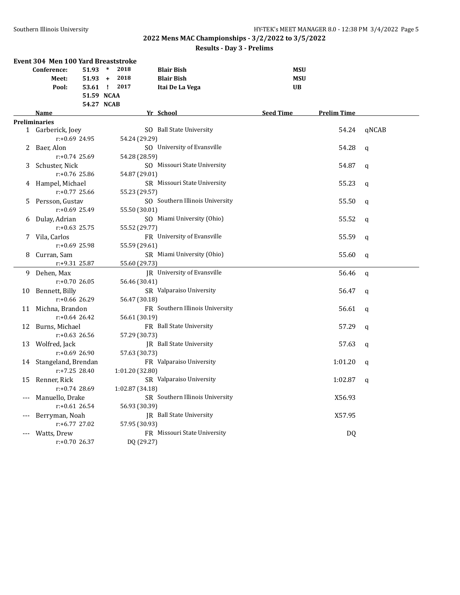|       | Event 304 Men 100 Yard Breaststroke |                  |        |                 |                                 |                  |                    |              |
|-------|-------------------------------------|------------------|--------|-----------------|---------------------------------|------------------|--------------------|--------------|
|       | Conference:                         | 51.93            | $\ast$ | 2018            | <b>Blair Bish</b>               | <b>MSU</b>       |                    |              |
|       | Meet:                               | 51.93            | $+$    | 2018            | <b>Blair Bish</b>               | <b>MSU</b>       |                    |              |
|       | Pool:                               | 53.61 ! 2017     |        |                 | Itai De La Vega                 | <b>UB</b>        |                    |              |
|       |                                     | 51.59 NCAA       |        |                 |                                 |                  |                    |              |
|       |                                     | 54.27 NCAB       |        |                 |                                 |                  |                    |              |
|       | <b>Name</b>                         |                  |        |                 | Yr School                       | <b>Seed Time</b> | <b>Prelim Time</b> |              |
|       | <b>Preliminaries</b>                |                  |        |                 | SO Ball State University        |                  | 54.24              | gNCAB        |
|       | 1 Garberick, Joey                   | $r: +0.69$ 24.95 |        | 54.24 (29.29)   |                                 |                  |                    |              |
| 2     | Baer, Alon                          |                  |        |                 | SO University of Evansville     |                  | 54.28              | $\mathbf q$  |
|       | $r: +0.74$ 25.69                    |                  |        | 54.28 (28.59)   |                                 |                  |                    |              |
| 3     | Schuster, Nick                      |                  |        |                 | SO Missouri State University    |                  | 54.87              | $\mathbf q$  |
|       |                                     | $r: +0.76$ 25.86 |        | 54.87 (29.01)   |                                 |                  |                    |              |
| 4     | Hampel, Michael                     |                  |        |                 | SR Missouri State University    |                  | 55.23              | q            |
|       | $r: +0.77$ 25.66                    |                  |        | 55.23 (29.57)   |                                 |                  |                    |              |
| 5     | Persson, Gustav                     |                  |        |                 | SO Southern Illinois University |                  | 55.50              | q            |
|       | r:+0.69 25.49                       |                  |        | 55.50 (30.01)   |                                 |                  |                    |              |
| 6     | Dulay, Adrian                       |                  |        |                 | SO Miami University (Ohio)      |                  | 55.52              | $\mathbf q$  |
|       |                                     | $r: +0.63$ 25.75 |        | 55.52 (29.77)   |                                 |                  |                    |              |
| 7     | Vila, Carlos                        |                  |        |                 | FR University of Evansville     |                  | 55.59              | $\mathbf q$  |
|       |                                     | $r: +0.69$ 25.98 |        | 55.59 (29.61)   |                                 |                  |                    |              |
| 8     | Curran, Sam                         |                  |        |                 | SR Miami University (Ohio)      |                  | 55.60              | $\mathbf q$  |
|       | r:+9.31 25.87                       |                  |        | 55.60 (29.73)   |                                 |                  |                    |              |
| 9     | Dehen, Max                          |                  |        |                 | JR University of Evansville     |                  | 56.46              | $\mathbf q$  |
|       | $r: +0.70$ 26.05                    |                  |        | 56.46 (30.41)   |                                 |                  |                    |              |
| 10    | Bennett, Billy                      |                  |        |                 | SR Valparaiso University        |                  | 56.47              | $\mathbf q$  |
|       |                                     | $r: +0.66$ 26.29 |        | 56.47 (30.18)   |                                 |                  |                    |              |
| 11    | Michna, Brandon                     |                  |        |                 | FR Southern Illinois University |                  | 56.61              | $\mathbf q$  |
|       |                                     | $r: +0.64$ 26.42 |        | 56.61 (30.19)   |                                 |                  |                    |              |
| 12    | Burns, Michael                      |                  |        |                 | FR Ball State University        |                  | 57.29              | q            |
|       | $r: +0.63$ 26.56                    |                  |        | 57.29 (30.73)   |                                 |                  |                    |              |
| 13    | Wolfred, Jack                       |                  |        |                 | JR Ball State University        |                  | 57.63              | $\mathbf q$  |
|       | $r: +0.69$ 26.90                    |                  |        | 57.63 (30.73)   |                                 |                  |                    |              |
| 14    | Stangeland, Brendan                 |                  |        |                 | FR Valparaiso University        |                  | 1:01.20            | $\mathbf{q}$ |
|       |                                     | $r: +7.25$ 28.40 |        | 1:01.20 (32.80) |                                 |                  |                    |              |
| 15    | Renner, Rick                        |                  |        |                 | SR Valparaiso University        |                  | 1:02.87            | q            |
|       | $r: +0.74$ 28.69                    |                  |        | 1:02.87 (34.18) |                                 |                  |                    |              |
| $---$ | Manuello, Drake                     |                  |        |                 | SR Southern Illinois University |                  | X56.93             |              |
|       | $r: +0.61$ 26.54                    |                  |        | 56.93 (30.39)   |                                 |                  |                    |              |
| $---$ | Berryman, Noah                      |                  |        |                 | JR Ball State University        |                  | X57.95             |              |
|       |                                     | $r: +6.77$ 27.02 |        | 57.95 (30.93)   |                                 |                  |                    |              |
|       | Watts, Drew                         |                  |        |                 | FR Missouri State University    |                  | DQ                 |              |
|       | $r: +0.70$ 26.37                    |                  |        | DQ (29.27)      |                                 |                  |                    |              |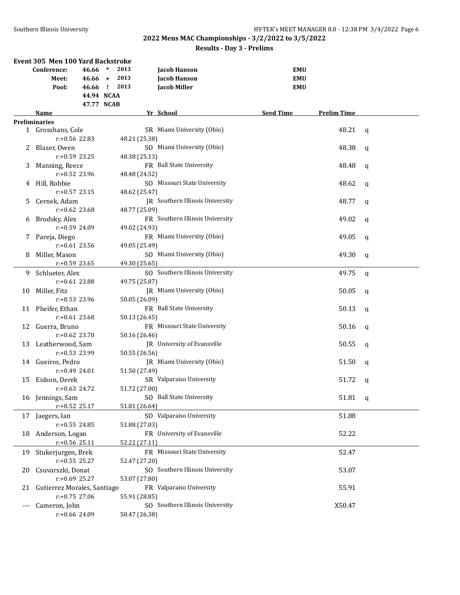| Event 305 Men 100 Yard Backstroke |                                |                   |                                        |                                        |             |  |  |
|-----------------------------------|--------------------------------|-------------------|----------------------------------------|----------------------------------------|-------------|--|--|
|                                   | Conference:<br>46.66           | $\ast$<br>2013    | <b>Jacob Hanson</b>                    | <b>EMU</b>                             |             |  |  |
|                                   | Meet:                          | $46.66 +$<br>2013 | Jacob Hanson                           | <b>EMU</b>                             |             |  |  |
|                                   | Pool:                          | 46.66 ! 2013      | <b>Jacob Miller</b>                    | <b>EMU</b>                             |             |  |  |
|                                   |                                | 44.94 NCAA        |                                        |                                        |             |  |  |
|                                   |                                | 47.77 NCAB        |                                        |                                        |             |  |  |
|                                   | <b>Name</b>                    |                   | Yr School                              | <b>Seed Time</b><br><b>Prelim Time</b> |             |  |  |
|                                   | <b>Preliminaries</b>           |                   |                                        |                                        |             |  |  |
|                                   | 1 Grosshans, Cole              |                   | SR Miami University (Ohio)             | 48.21                                  | q           |  |  |
|                                   | $r: +0.56$ 22.83               | 48.21 (25.38)     |                                        |                                        |             |  |  |
| 2                                 | Blazer, Owen                   |                   | SO Miami University (Ohio)             | 48.38                                  | q           |  |  |
|                                   | $r: +0.59$ 23.25               | 48.38 (25.13)     |                                        |                                        |             |  |  |
| 3                                 | Manning, Reece                 |                   | FR Ball State University               | 48.48                                  | q           |  |  |
|                                   | $r: +0.52$ 23.96               | 48.48 (24.52)     |                                        |                                        |             |  |  |
|                                   | 4 Hill, Robbie                 |                   | SO Missouri State University           | 48.62                                  | q           |  |  |
|                                   | $r: +0.57$ 23.15               | 48.62 (25.47)     |                                        |                                        |             |  |  |
| 5.                                | Cernek, Adam                   |                   | <b>IR</b> Southern Illinois University | 48.77                                  | q           |  |  |
|                                   | $r: +0.62$ 23.68               | 48.77 (25.09)     |                                        |                                        |             |  |  |
| 6                                 | Brodsky, Alex                  |                   | FR Southern Illinois University        | 49.02                                  | q           |  |  |
|                                   | $r: +0.59$ 24.09               | 49.02 (24.93)     |                                        |                                        |             |  |  |
| 7.                                | Pareja, Diego                  |                   | FR Miami University (Ohio)             | 49.05                                  | $\mathbf q$ |  |  |
|                                   | $r: +0.61$ 23.56               | 49.05 (25.49)     |                                        |                                        |             |  |  |
| 8                                 | Miller, Mason                  |                   | SO Miami University (Ohio)             | 49.30                                  | $\mathbf q$ |  |  |
|                                   | $r: +0.59$ 23.65               | 49.30 (25.65)     |                                        |                                        |             |  |  |
| 9                                 | Schlueter, Alex                |                   | SO Southern Illinois University        | 49.75                                  | q           |  |  |
|                                   | $r: +0.61$ 23.88               | 49.75 (25.87)     |                                        |                                        |             |  |  |
| 10                                | Miller, Fitz                   |                   | JR Miami University (Ohio)             | 50.05                                  | $\mathbf q$ |  |  |
|                                   | $r: +0.53$ 23.96               | 50.05 (26.09)     |                                        |                                        |             |  |  |
| 11                                | Pheifer, Ethan                 |                   | FR Ball State University               | 50.13                                  | q           |  |  |
|                                   | $r: +0.61$ 23.68               | 50.13 (26.45)     |                                        |                                        |             |  |  |
| 12                                | Guerra, Bruno                  |                   | FR Missouri State University           | 50.16                                  | q           |  |  |
|                                   | $r: +0.62$ 23.70               | 50.16 (26.46)     |                                        |                                        |             |  |  |
| 13                                | Leatherwood, Sam               |                   | <b>IR</b> University of Evansville     | 50.55                                  | q           |  |  |
|                                   | $r: +0.53$ 23.99               | 50.55 (26.56)     |                                        |                                        |             |  |  |
|                                   | 14 Gueiros, Pedro              |                   | JR Miami University (Ohio)             | 51.50                                  | q           |  |  |
|                                   | $r: +0.49$ 24.01               | 51.50 (27.49)     |                                        |                                        |             |  |  |
| 15                                | Eidson, Derek                  |                   | SR Valparaiso University               | 51.72                                  | q           |  |  |
|                                   | $r: +0.63$ 24.72               | 51.72 (27.00)     |                                        |                                        |             |  |  |
|                                   | 16 Jennings, Sam               |                   | SO Ball State University               | 51.81                                  | q           |  |  |
|                                   | $r.+0.52$ 25.17                | 51.81 (26.64)     |                                        |                                        |             |  |  |
| 17                                | Jaegers, Ian                   |                   | SO Valparaiso University               | 51.88                                  |             |  |  |
|                                   | $r: +0.55$ 24.85               | 51.88 (27.03)     |                                        |                                        |             |  |  |
| 18                                | Anderson, Logan                |                   | FR University of Evansville            | 52.22                                  |             |  |  |
|                                   | $r+0.56$ 25.11                 | 52.22 (27.11)     |                                        |                                        |             |  |  |
| 19                                | Stukerjurgen, Brek             |                   | FR Missouri State University           | 52.47                                  |             |  |  |
|                                   | $r: +0.55$ 25.27               | 52.47 (27.20)     |                                        |                                        |             |  |  |
| 20                                | Csuvarszki, Donat              |                   | SO Southern Illinois University        | 53.07                                  |             |  |  |
|                                   | $r: +0.69$ 25.27               | 53.07 (27.80)     |                                        |                                        |             |  |  |
|                                   | 21 Gutierrez Morales, Santiago |                   | FR Valparaiso University               | 55.91                                  |             |  |  |
|                                   | r:+0.75 27.06                  | 55.91 (28.85)     |                                        |                                        |             |  |  |
|                                   | Cameron, John                  |                   | SO Southern Illinois University        | X50.47                                 |             |  |  |
|                                   | r:+0.66 24.09                  | 50.47 (26.38)     |                                        |                                        |             |  |  |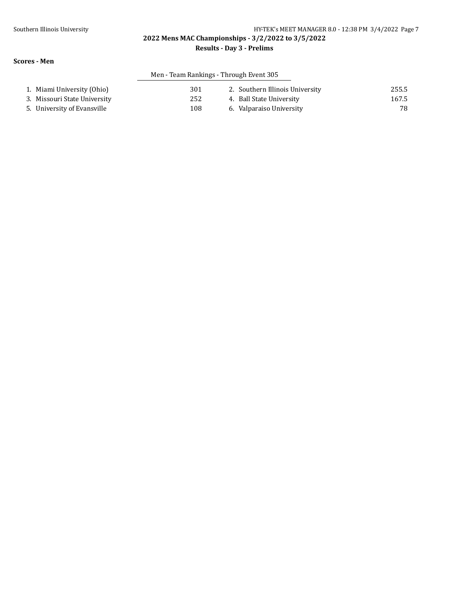#### **Results - Day 3 - Prelims**

#### **Scores - Men**

## Men - Team Rankings - Through Event 305

| 1. Miami University (Ohio)   | 301 | 2. Southern Illinois University | 255.5 |
|------------------------------|-----|---------------------------------|-------|
| 3. Missouri State University | 252 | 4. Ball State University        | 167.5 |
| 5. University of Evansville  | 108 | 6. Valparaiso University        | 78    |